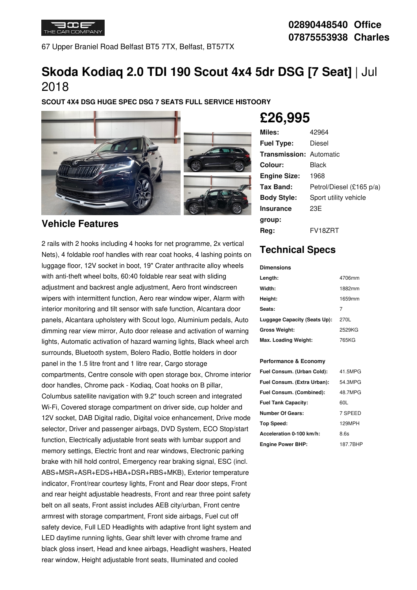

67 Upper Braniel Road Belfast BT5 7TX, Belfast, BT57TX

# **Skoda Kodiaq 2.0 TDI 190 Scout 4x4 5dr DSG [7 Seat]** | Jul 2018

**SCOUT 4X4 DSG HUGE SPEC DSG 7 SEATS FULL SERVICE HISTOORY**



### **Vehicle Features**

2 rails with 2 hooks including 4 hooks for net programme, 2x vertical Nets), 4 foldable roof handles with rear coat hooks, 4 lashing points on luggage floor, 12V socket in boot, 19" Crater anthracite alloy wheels with anti-theft wheel bolts, 60:40 foldable rear seat with sliding adjustment and backrest angle adjustment, Aero front windscreen wipers with intermittent function, Aero rear window wiper, Alarm with interior monitoring and tilt sensor with safe function, Alcantara door panels, Alcantara upholstery with Scout logo, Aluminium pedals, Auto dimming rear view mirror, Auto door release and activation of warning lights, Automatic activation of hazard warning lights, Black wheel arch surrounds, Bluetooth system, Bolero Radio, Bottle holders in door panel in the 1.5 litre front and 1 litre rear, Cargo storage compartments, Centre console with open storage box, Chrome interior door handles, Chrome pack - Kodiaq, Coat hooks on B pillar, Columbus satellite navigation with 9.2" touch screen and integrated Wi-Fi, Covered storage compartment on driver side, cup holder and 12V socket, DAB Digital radio, Digital voice enhancement, Drive mode selector, Driver and passenger airbags, DVD System, ECO Stop/start function, Electrically adjustable front seats with lumbar support and memory settings, Electric front and rear windows, Electronic parking brake with hill hold control, Emergency rear braking signal, ESC (incl. ABS+MSR+ASR+EDS+HBA+DSR+RBS+MKB), Exterior temperature indicator, Front/rear courtesy lights, Front and Rear door steps, Front and rear height adjustable headrests, Front and rear three point safety belt on all seats, Front assist includes AEB city/urban, Front centre armrest with storage compartment, Front side airbags, Fuel cut off safety device, Full LED Headlights with adaptive front light system and LED daytime running lights, Gear shift lever with chrome frame and black gloss insert, Head and knee airbags, Headlight washers, Heated rear window, Height adjustable front seats, Illuminated and cooled

# **£26,995**

| Miles:                         | 42964                    |
|--------------------------------|--------------------------|
| <b>Fuel Type:</b>              | Diesel                   |
| <b>Transmission: Automatic</b> |                          |
| Colour:                        | Black                    |
| <b>Engine Size:</b>            | 1968                     |
| Tax Band:                      | Petrol/Diesel (£165 p/a) |
| <b>Body Style:</b>             | Sport utility vehicle    |
| <b>Insurance</b>               | 23E                      |
| group:                         |                          |
| Rea:                           | FV18ZRT                  |

## **Technical Specs**

| <b>Dimensions</b>            |        |
|------------------------------|--------|
| Length:                      | 4706mm |
| Width:                       | 1882mm |
| Height:                      | 1659mm |
| Seats:                       | 7      |
| Luggage Capacity (Seats Up): | 270L   |
| <b>Gross Weight:</b>         | 2529KG |
| Max. Loading Weight:         | 765KG  |

#### **Performance & Economy**

| Fuel Consum. (Urban Cold):  | 41.5MPG  |
|-----------------------------|----------|
| Fuel Consum. (Extra Urban): | 54.3MPG  |
| Fuel Consum. (Combined):    | 48.7MPG  |
| <b>Fuel Tank Capacity:</b>  | 60L      |
| <b>Number Of Gears:</b>     | 7 SPEED  |
| Top Speed:                  | 129MPH   |
| Acceleration 0-100 km/h:    | 8.6s     |
| <b>Engine Power BHP:</b>    | 187.7BHP |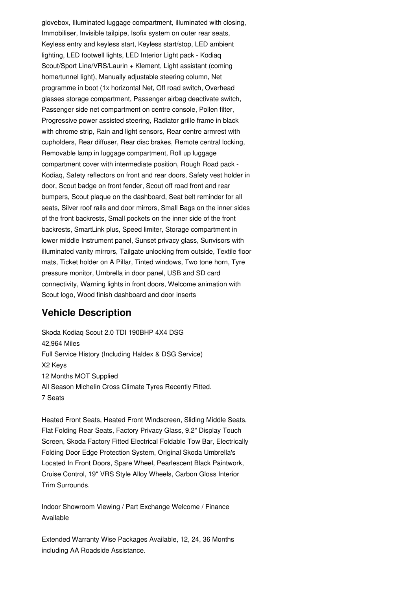glovebox, Illuminated luggage compartment, illuminated with closing, Immobiliser, Invisible tailpipe, Isofix system on outer rear seats, Keyless entry and keyless start, Keyless start/stop, LED ambient lighting, LED footwell lights, LED Interior Light pack - Kodiaq Scout/Sport Line/VRS/Laurin + Klement, Light assistant (coming home/tunnel light), Manually adjustable steering column, Net programme in boot (1x horizontal Net, Off road switch, Overhead glasses storage compartment, Passenger airbag deactivate switch, Passenger side net compartment on centre console, Pollen filter, Progressive power assisted steering, Radiator grille frame in black with chrome strip, Rain and light sensors, Rear centre armrest with cupholders, Rear diffuser, Rear disc brakes, Remote central locking, Removable lamp in luggage compartment, Roll up luggage compartment cover with intermediate position, Rough Road pack - Kodiaq, Safety reflectors on front and rear doors, Safety vest holder in door, Scout badge on front fender, Scout off road front and rear bumpers, Scout plaque on the dashboard, Seat belt reminder for all seats, Silver roof rails and door mirrors, Small Bags on the inner sides of the front backrests, Small pockets on the inner side of the front backrests, SmartLink plus, Speed limiter, Storage compartment in lower middle Instrument panel, Sunset privacy glass, Sunvisors with illuminated vanity mirrors, Tailgate unlocking from outside, Textile floor mats, Ticket holder on A Pillar, Tinted windows, Two tone horn, Tyre pressure monitor, Umbrella in door panel, USB and SD card connectivity, Warning lights in front doors, Welcome animation with Scout logo, Wood finish dashboard and door inserts

## **Vehicle Description**

Skoda Kodiaq Scout 2.0 TDI 190BHP 4X4 DSG 42,964 Miles Full Service History (Including Haldex & DSG Service) X2 Keys 12 Months MOT Supplied All Season Michelin Cross Climate Tyres Recently Fitted. 7 Seats

Heated Front Seats, Heated Front Windscreen, Sliding Middle Seats, Flat Folding Rear Seats, Factory Privacy Glass, 9.2" Display Touch Screen, Skoda Factory Fitted Electrical Foldable Tow Bar, Electrically Folding Door Edge Protection System, Original Skoda Umbrella's Located In Front Doors, Spare Wheel, Pearlescent Black Paintwork, Cruise Control, 19" VRS Style Alloy Wheels, Carbon Gloss Interior Trim Surrounds.

Indoor Showroom Viewing / Part Exchange Welcome / Finance Available

Extended Warranty Wise Packages Available, 12, 24, 36 Months including AA Roadside Assistance.